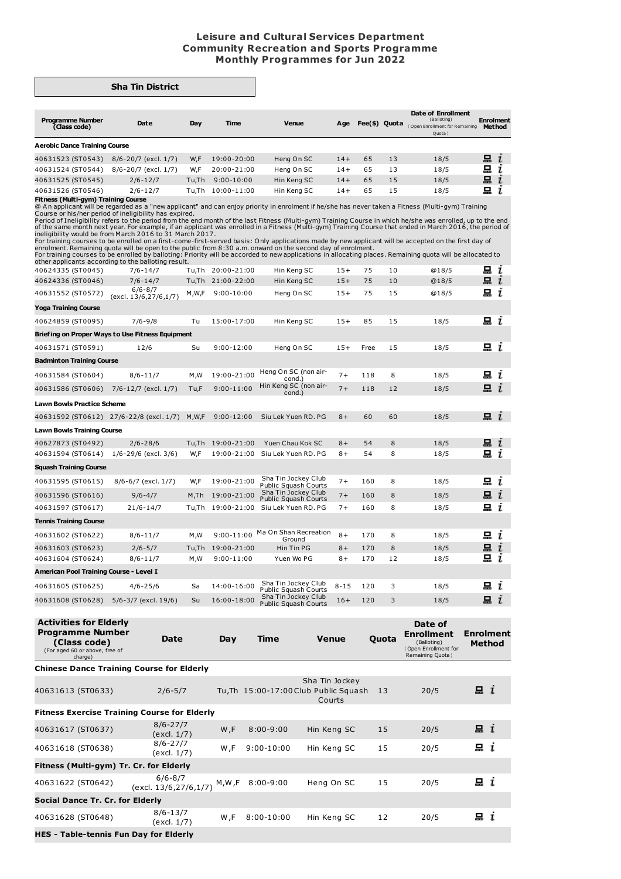## **Leisure and Cultural Services Department Community Recreation and Sports Programme Monthly Programmes for Jun 2022**

## **Sha Tin District**

| <b>Programme Number</b>              |                      |        |                |             |       |               |    | Date of Enrollment<br>(Balloting)      | <b>Enrolment</b> |
|--------------------------------------|----------------------|--------|----------------|-------------|-------|---------------|----|----------------------------------------|------------------|
| (Class code)                         | Date                 | Day    | Time           | Venue       | Age   | Fee(\$) Quota |    | Open Enrollment for Remaining<br>Quota | <b>Method</b>    |
| <b>Aerobic Dance Training Course</b> |                      |        |                |             |       |               |    |                                        |                  |
| 40631523 (ST0543)                    | 8/6-20/7 (excl. 1/7) | W,F    | 19:00-20:00    | Heng On SC  | $14+$ | 65            | 13 | 18/5                                   | 是。               |
| 40631524 (ST0544)                    | 8/6-20/7 (excl. 1/7) | W.F    | 20:00-21:00    | Heng On SC  | $14+$ | 65            | 13 | 18/5                                   | 묘                |
| 40631525 (ST0545)                    | $2/6 - 12/7$         | Tu.Th  | $9:00 - 10:00$ | Hin Keng SC | $14+$ | 65            | 15 | 18/5                                   | 묘                |
| 40631526 (ST0546)                    | $2/6 - 12/7$         | Tu.Th. | 10:00-11:00    | Hin Keng SC | 14+   | 65            | 15 | 18/5                                   | 묘                |

**Fitness (Multi-gym) Training Course**<br>@ An applicant will be regarded as a "new applicant" and can enjoy priority in enrolment if he/she has never taken a Fitness (Multi-gym) Training<br>Course or his/her period of ineligibil

Period of Ineligibility refers to the period from the end month of the last Fitness (Multi-gym) Training Course in which he/she was enrolled, up to the end<br>of the same month next year. For example, if an applicant was enro

For training courses to be enrolled on a first-come-first-served basis: Only applications made by new applicant will be accepted on the first day of<br>enrolment. Remaining quota will be open to the public from 8:30 a.m. onwa

 $\Xi$   $i$ 40624335 (ST0045) 7/6-14/7 Tu,Th 20:00-21:00 Hin Keng SC 15+ 75 10 @18/5 40624336 (ST0046) 7/6-14/7 Tu,Th 21:00-22:00 Hin Keng SC 15+ 75 10 @18/5 묘 i (excl. 13/6,27/6,1/7) M,W,F 9:00-10:00 Heng On SC 15+ <sup>75</sup> <sup>15</sup> @18/5 40631552 (ST0572)  $i$ **Yoga Training Course**  $\Xi$  i 40624859 (ST0095) 7/6-9/8 Tu 15:00-17:00 Hin Keng SC 15+ 85 15 18/5 **Briefing on Proper Ways to Use Fitness Equipment**  $i$ 40631571 (ST0591) 12/6 Su 9:00-12:00 Heng On SC 15+ Free 15 18/5 **Badminton Training Course** 40631584 (ST0604) 8/6-11/7 M,W 19:00-21:00 Heng On SC (non air-cond.) 7+ 118 8 18/5  $\mathbf{a}$  i 40631586 (ST0606) 7/6-12/7 (excl. 1/7) Tu,F 9:00-11:00 Hin Keng SC (non air-7+ 118 12 18/5  $\mathbf{a}$  i cond.) **Lawn Bowls Practice Scheme**  $i$ 40631592 (ST0612) 27/6-22/8 (excl. 1/7) M,W,F 9:00-12:00 Siu Lek Yuen RD. PG 8+ 60 60 18/5 **Lawn Bowls Training Course**  $i$ 40627873 (ST0492) 2/6-28/6 Tu,Th 19:00-21:00 Yuen Chau Kok SC 8+ 54 8 18/5 40631594 (ST0614) 1/6-29/6 (excl. 3/6) W,F 19:00-21:00 Siu Lek Yuen RD. PG 8+ 54 8 18/5 묘 i **Squash Training Course** 40631595 (ST0615) 8/6-6/7 (excl. 1/7) W,F 19:00-21:00 Sha Tin Jockey Club Public Squash Courts 40631596 (ST0616) 9/6-4/7 M,Th 19:00-21:00 Sha Tin Jockey Club Public Squash Courts 7+ 160 8 18/5  $\mathbf{a}$  i 7+ 160 8 18/5  $i$  $\mathbf{a}$  i 40631597 (ST0617) 21/6-14/7 Tu,Th 19:00-21:00 Siu Lek Yuen RD. PG 7+ 160 8 18/5 **Tennis Training Course** 40631602 (ST0622) 8/6-11/7 M,W 9:00-11:00 Ma On Shan Recreation  $\mathbf{a}$  i 8+ 170 8 18/5 Ground<br>Hin Tin PG 40631603 (ST0623) 2/6-5/7 Tu,Th 19:00-21:00 Hin Tin PG 8+ 170 8 18/5  $i$  $\Xi$  i 40631604 (ST0624) 8/6-11/7 M,W 9:00-11:00 Yuen Wo PG 8+ 170 12 18/5 **American Pool Training Course - Level I** 40631605 (ST0625) 4/6-25/6 Sa 14:00-16:00 Sha Tin Jockey Club Public Squash Courts 8-15 120 3 18/5  $\Xi$  i 16:00-18:00 Sha Tin Jockey Club<br>Public Squash Courts 40631608 (ST0628) 5/6-3/7 (excl. 19/6) Su 16+ 120 3 18/5  $i$ 

| <b>Activities for Elderly</b><br><b>Programme Number</b><br>(Class code)<br>(For aged 60 or above, free of<br>charge) | Date                                 | Day   | <b>Time</b>   | <b>Venue</b>                                                      | Quota | Date of<br><b>Enrollment</b><br>(Balloting)<br>Open Enrollment for<br>Remaining Quota } | <b>Enrolment</b><br><b>Method</b> |
|-----------------------------------------------------------------------------------------------------------------------|--------------------------------------|-------|---------------|-------------------------------------------------------------------|-------|-----------------------------------------------------------------------------------------|-----------------------------------|
| <b>Chinese Dance Training Course for Elderly</b>                                                                      |                                      |       |               |                                                                   |       |                                                                                         |                                   |
| 40631613 (ST0633)                                                                                                     | $2/6 - 5/7$                          |       |               | Sha Tin Jockey<br>Tu, Th 15:00-17:00 Club Public Squash<br>Courts | 13    | 20/5                                                                                    | i                                 |
| <b>Fitness Exercise Training Course for Elderly</b>                                                                   |                                      |       |               |                                                                   |       |                                                                                         |                                   |
| 40631617 (ST0637)                                                                                                     | $8/6 - 27/7$<br>(excl. 1/7)          | W,F   | $8:00 - 9:00$ | Hin Keng SC                                                       | 15    | 20/5                                                                                    | i                                 |
| 40631618 (ST0638)                                                                                                     | $8/6 - 27/7$<br>(excl. 1/7)          | W,F   | $9:00-10:00$  | Hin Keng SC                                                       | 15    | 20/5                                                                                    | i                                 |
| Fitness (Multi-gym) Tr. Cr. for Elderly                                                                               |                                      |       |               |                                                                   |       |                                                                                         |                                   |
| 40631622 (ST0642)                                                                                                     | $6/6 - 8/7$<br>(excl. 13/6,27/6,1/7) | M,W,F | $8:00 - 9:00$ | Heng On SC                                                        | 15    | 20/5                                                                                    | $x_i$                             |
| Social Dance Tr. Cr. for Elderly                                                                                      |                                      |       |               |                                                                   |       |                                                                                         |                                   |
| 40631628 (ST0648)                                                                                                     | $8/6 - 13/7$<br>(excl. 1/7)          | W,F   | $8:00-10:00$  | Hin Keng SC                                                       | 12    | 20/5                                                                                    | i                                 |
| <b>HES - Table-tennis Fun Day for Elderly</b>                                                                         |                                      |       |               |                                                                   |       |                                                                                         |                                   |